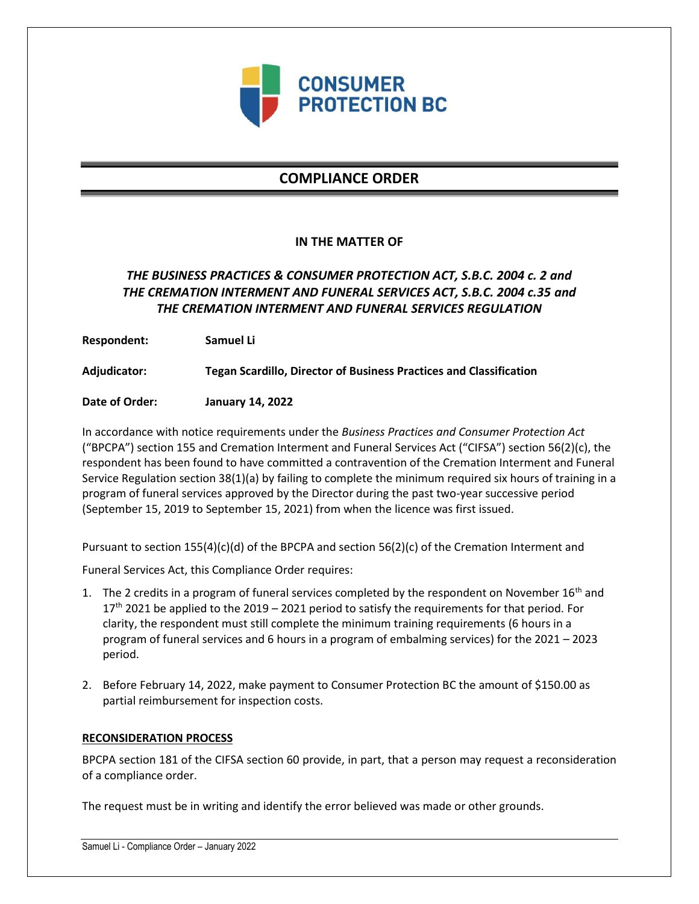

# **COMPLIANCE ORDER**

### **IN THE MATTER OF**

## *THE BUSINESS PRACTICES & CONSUMER PROTECTION ACT, S.B.C. 2004 c. 2 and THE CREMATION INTERMENT AND FUNERAL SERVICES ACT, S.B.C. 2004 c.35 and THE CREMATION INTERMENT AND FUNERAL SERVICES REGULATION*

**Respondent: Samuel Li**

**Adjudicator: Tegan Scardillo, Director of Business Practices and Classification**

**Date of Order: January 14, 2022**

In accordance with notice requirements under the *Business Practices and Consumer Protection Act* ("BPCPA") section 155 and Cremation Interment and Funeral Services Act ("CIFSA") section 56(2)(c), the respondent has been found to have committed a contravention of the Cremation Interment and Funeral Service Regulation section 38(1)(a) by failing to complete the minimum required six hours of training in a program of funeral services approved by the Director during the past two-year successive period (September 15, 2019 to September 15, 2021) from when the licence was first issued.

Pursuant to section 155(4)(c)(d) of the BPCPA and section 56(2)(c) of the Cremation Interment and

Funeral Services Act, this Compliance Order requires:

- 1. The 2 credits in a program of funeral services completed by the respondent on November  $16<sup>th</sup>$  and  $17<sup>th</sup>$  2021 be applied to the 2019 – 2021 period to satisfy the requirements for that period. For clarity, the respondent must still complete the minimum training requirements (6 hours in a program of funeral services and 6 hours in a program of embalming services) for the 2021 – 2023 period.
- 2. Before February 14, 2022, make payment to Consumer Protection BC the amount of \$150.00 as partial reimbursement for inspection costs.

#### **RECONSIDERATION PROCESS**

BPCPA section 181 of the CIFSA section 60 provide, in part, that a person may request a reconsideration of a compliance order.

The request must be in writing and identify the error believed was made or other grounds.